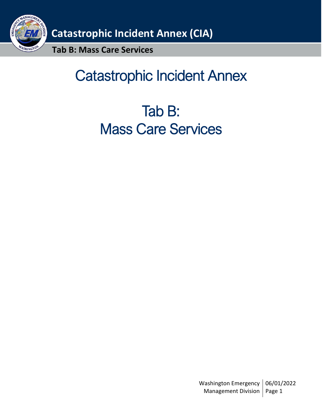

# Catastrophic Incident Annex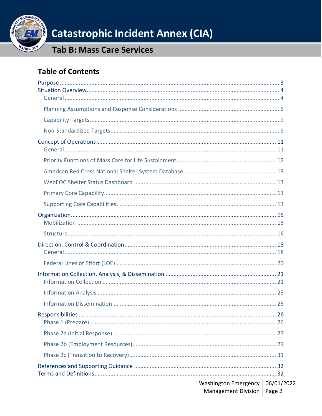

**Tab B: Mass Care Services** 

### **Table of Contents**

| Washington Emergency  <br><b>Management Division</b> | 06/01/2022<br>Page 2 |
|------------------------------------------------------|----------------------|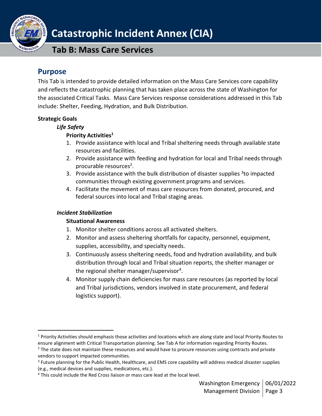

**Tab B: Mass Care Services**

### <span id="page-2-0"></span>**Purpose**

This Tab is intended to provide detailed information on the Mass Care Services core capability and reflects the catastrophic planning that has taken place across the state of Washington for the associated Critical Tasks. Mass Care Services response considerations addressed in this Tab include: Shelter, Feeding, Hydration, and Bulk Distribution.

### **Strategic Goals**

#### *Life Safety*

### **Priority Activities<sup>1</sup>**

- 1. Provide assistance with local and Tribal sheltering needs through available state resources and facilities.
- 2. Provide assistance with feeding and hydration for local and Tribal needs through procurable resources<sup>2</sup>.
- 3. Provide assistance with the bulk distribution of disaster supplies <sup>3</sup>to impacted communities through existing government programs and services.
- 4. Facilitate the movement of mass care resources from donated, procured, and federal sources into local and Tribal staging areas.

#### *Incident Stabilization*

#### **Situational Awareness**

- 1. Monitor shelter conditions across all activated shelters.
- 2. Monitor and assess sheltering shortfalls for capacity, personnel, equipment, supplies, accessibility, and specialty needs.
- 3. Continuously assess sheltering needs, food and hydration availability, and bulk distribution through local and Tribal situation reports, the shelter manager or the regional shelter manager/supervisor<sup>4</sup>.
- 4. Monitor supply chain deficiencies for mass care resources (as reported by local and Tribal jurisdictions, vendors involved in state procurement, and federal logistics support).

<sup>&</sup>lt;sup>1</sup> Priority Activities should emphasis those activities and locations which are along state and local Priority Routes to ensure alignment with Critical Transportation planning. See Tab A for information regarding Priority Routes.

<sup>&</sup>lt;sup>2</sup> The state does not maintain these resources and would have to procure resources using contracts and private vendors to support impacted communities.

<sup>&</sup>lt;sup>3</sup> Future planning for the Public Health, Healthcare, and EMS core capability will address medical disaster supplies (e.g., medical devices and supplies, medications, etc.).

<sup>&</sup>lt;sup>4</sup> This could include the Red Cross liaison or mass care lead at the local level.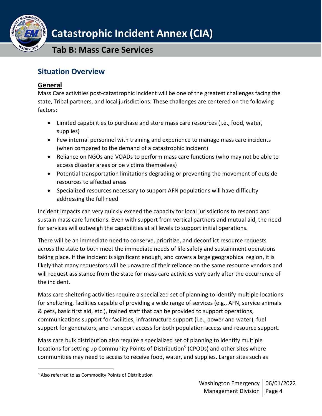**Tab B: Mass Care Services**

### <span id="page-3-0"></span>**Situation Overview**

### <span id="page-3-1"></span>**General**

Mass Care activities post-catastrophic incident will be one of the greatest challenges facing the state, Tribal partners, and local jurisdictions. These challenges are centered on the following factors:

- Limited capabilities to purchase and store mass care resources (i.e., food, water, supplies)
- Few internal personnel with training and experience to manage mass care incidents (when compared to the demand of a catastrophic incident)
- Reliance on NGOs and VOADs to perform mass care functions (who may not be able to access disaster areas or be victims themselves)
- Potential transportation limitations degrading or preventing the movement of outside resources to affected areas
- Specialized resources necessary to support AFN populations will have difficulty addressing the full need

Incident impacts can very quickly exceed the capacity for local jurisdictions to respond and sustain mass care functions. Even with support from vertical partners and mutual aid, the need for services will outweigh the capabilities at all levels to support initial operations.

There will be an immediate need to conserve, prioritize, and deconflict resource requests across the state to both meet the immediate needs of life safety and sustainment operations taking place. If the incident is significant enough, and covers a large geographical region, it is likely that many requestors will be unaware of their reliance on the same resource vendors and will request assistance from the state for mass care activities very early after the occurrence of the incident.

Mass care sheltering activities require a specialized set of planning to identify multiple locations for sheltering, facilities capable of providing a wide range of services (e.g., AFN, service animals & pets, basic first aid, etc.), trained staff that can be provided to support operations, communications support for facilities, infrastructure support (i.e., power and water), fuel support for generators, and transport access for both population access and resource support.

Mass care bulk distribution also require a specialized set of planning to identify multiple locations for setting up Community Points of Distribution<sup>5</sup> (CPODs) and other sites where communities may need to access to receive food, water, and supplies. Larger sites such as

<sup>5</sup> Also referred to as Commodity Points of Distribution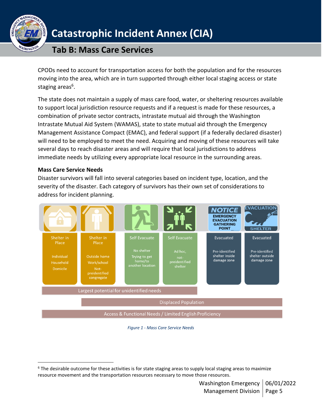

### **Tab B: Mass Care Services**

CPODs need to account for transportation access for both the population and for the resources moving into the area, which are in turn supported through either local staging access or state staging areas<sup>6</sup>.

The state does not maintain a supply of mass care food, water, or sheltering resources available to support local jurisdiction resource requests and if a request is made for these resources, a combination of private sector contracts, intrastate mutual aid through the Washington Intrastate Mutual Aid System (WAMAS), state to state mutual aid through the Emergency Management Assistance Compact (EMAC), and federal support (if a federally declared disaster) will need to be employed to meet the need. Acquiring and moving of these resources will take several days to reach disaster areas and will require that local jurisdictions to address immediate needs by utilizing every appropriate local resource in the surrounding areas.

#### **Mass Care Service Needs**

Disaster survivors will fall into several categories based on incident type, location, and the severity of the disaster. Each category of survivors has their own set of considerations to address for incident planning.



#### *Figure 1 - Mass Care Service Needs*

<span id="page-4-0"></span><sup>&</sup>lt;sup>6</sup> The desirable outcome for these activities is for state staging areas to supply local staging areas to maximize resource movement and the transportation resources necessary to move those resources.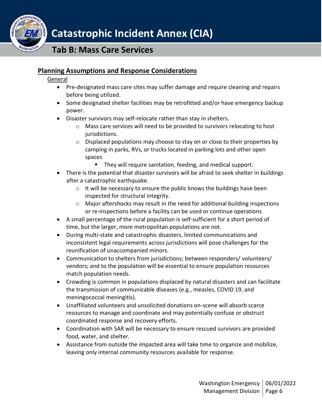

### **Planning Assumptions and Response Considerations**

#### General

**SHINGT** 

- Pre-designated mass care sites may suffer damage and require cleaning and repairs before being utilized.
- Some designated shelter facilities may be retrofitted and/or have emergency backup power.
- Disaster survivors may self-relocate rather than stay in shelters.
	- $\circ$  Mass care services will need to be provided to survivors relocating to host jurisdictions.
	- $\circ$  Displaced populations may choose to stay on or close to their properties by camping in parks, RVs, or trucks located in parking lots and other open spaces
		- They will require sanitation, feeding, and medical support.
- There is the potential that disaster survivors will be afraid to seek shelter in buildings after a catastrophic earthquake.
	- o It will be necessary to ensure the public knows the buildings have been inspected for structural integrity.
	- $\circ$  Major aftershocks may result in the need for additional building inspections or re-inspections before a facility can be used or continue operations
- A small percentage of the rural population is self-sufficient for a short period of time, but the larger, more metropolitan populations are not.
- During multi-state and catastrophic disasters, limited communications and inconsistent legal requirements across jurisdictions will pose challenges for the reunification of unaccompanied minors.
- Communication to shelters from jurisdictions; between responders/ volunteers/ vendors; and to the population will be essential to ensure population resources match population needs.
- Crowding is common in populations displaced by natural disasters and can facilitate the transmission of communicable diseases (e.g., measles, COVID 19, and meningococcal meningitis).
- Unaffiliated volunteers and unsolicited donations on-scene will absorb scarce resources to manage and coordinate and may potentially confuse or obstruct coordinated response and recovery efforts.
- Coordination with SAR will be necessary to ensure rescued survivors are provided food, water, and shelter.
- Assistance from outside the impacted area will take time to organize and mobilize, leaving only internal community resources available for response.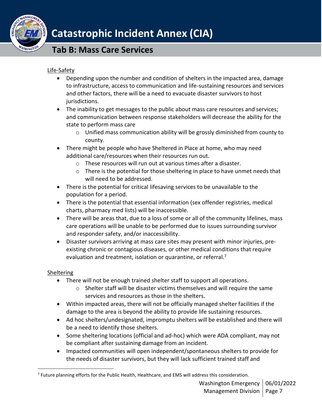

### Life-Safety

- Depending upon the number and condition of shelters in the impacted area, damage to infrastructure, access to communication and life-sustaining resources and services and other factors, there will be a need to evacuate disaster survivors to host jurisdictions.
- The inability to get messages to the public about mass care resources and services; and communication between response stakeholders will decrease the ability for the state to perform mass care
	- o Unified mass communication ability will be grossly diminished from county to county.
- There might be people who have Sheltered in Place at home, who may need additional care/resources when their resources run out.
	- o These resources will run out at various times after a disaster.
	- $\circ$  There is the potential for those sheltering in place to have unmet needs that will need to be addressed.
- There is the potential for critical lifesaving services to be unavailable to the population for a period.
- There is the potential that essential information (sex offender registries, medical charts, pharmacy med lists) will be inaccessible.
- There will be areas that, due to a loss of some or all of the community lifelines, mass care operations will be unable to be performed due to issues surrounding survivor and responder safety, and/or inaccessibility.
- Disaster survivors arriving at mass care sites may present with minor injuries, preexisting chronic or contagious diseases, or other medical conditions that require evaluation and treatment, isolation or quarantine, or referral.<sup>7</sup>

#### Sheltering

- There will not be enough trained shelter staff to support all operations.
	- o Shelter staff will be disaster victims themselves and will require the same services and resources as those in the shelters.
- Within impacted areas, there will not be officially managed shelter facilities if the damage to the area is beyond the ability to provide life sustaining resources.
- Ad hoc shelters/undesignated, impromptu shelters will be established and there will be a need to identify those shelters.
- Some sheltering locations (official and ad-hoc) which were ADA compliant, may not be compliant after sustaining damage from an incident.
- Impacted communities will open independent/spontaneous shelters to provide for the needs of disaster survivors, but they will lack sufficient trained staff and

<sup>&</sup>lt;sup>7</sup> Future planning efforts for the Public Health, Healthcare, and EMS will address this consideration.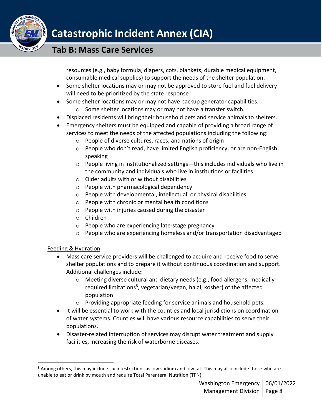

resources (e.g., baby formula, diapers, cots, blankets, durable medical equipment, consumable medical supplies) to support the needs of the shelter population.

- Some shelter locations may or may not be approved to store fuel and fuel delivery will need to be prioritized by the state response
- Some shelter locations may or may not have backup generator capabilities.
	- o Some shelter locations may or may not have a transfer switch.
- Displaced residents will bring their household pets and service animals to shelters.
- Emergency shelters must be equipped and capable of providing a broad range of services to meet the needs of the affected populations including the following:
	- o People of diverse cultures, races, and nations of origin
	- o People who don't read, have limited English proficiency, or are non-English speaking
	- $\circ$  People living in institutionalized settings—this includes individuals who live in the community and individuals who live in institutions or facilities
	- o Older adults with or without disabilities
	- o People with pharmacological dependency
	- o People with developmental, intellectual, or physical disabilities
	- o People with chronic or mental health conditions
	- o People with injuries caused during the disaster
	- o Children
	- o People who are experiencing late-stage pregnancy
	- $\circ$  People who are experiencing homeless and/or transportation disadvantaged

### Feeding & Hydration

- Mass care service providers will be challenged to acquire and receive food to serve shelter populations and to prepare it without continuous coordination and support. Additional challenges include:
	- o Meeting diverse cultural and dietary needs (e.g., food allergens, medicallyrequired limitations<sup>8</sup>, vegetarian/vegan, halal, kosher) of the affected population
	- o Providing appropriate feeding for service animals and household pets.
- It will be essential to work with the counties and local jurisdictions on coordination of water systems. Counties will have various resource capabilities to serve their populations.
- Disaster-related interruption of services may disrupt water treatment and supply facilities, increasing the risk of waterborne diseases.

<sup>&</sup>lt;sup>8</sup> Among others, this may include such restrictions as low sodium and low fat. This may also include those who are unable to eat or drink by mouth and require Total Parenteral Nutrition (TPN).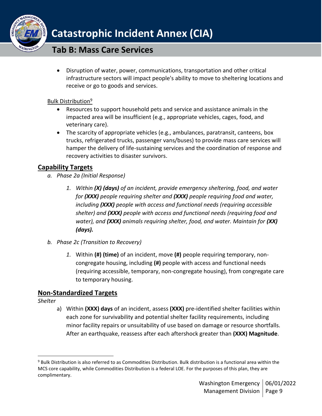

• Disruption of water, power, communications, transportation and other critical infrastructure sectors will impact people's ability to move to sheltering locations and receive or go to goods and services.

### Bulk Distribution<sup>9</sup>

- Resources to support household pets and service and assistance animals in the impacted area will be insufficient (e.g., appropriate vehicles, cages, food, and veterinary care).
- The scarcity of appropriate vehicles (e.g., ambulances, paratransit, canteens, box trucks, refrigerated trucks, passenger vans/buses) to provide mass care services will hamper the delivery of life-sustaining services and the coordination of response and recovery activities to disaster survivors.

### <span id="page-8-0"></span>**Capability Targets**

- *a. Phase 2a (Initial Response)*
	- *1. Within (X) (days) of an incident, provide emergency sheltering, food, and water for (XXX) people requiring shelter and (XXX) people requiring food and water, including (XXX) people with access and functional needs (requiring accessible shelter) and (XXX) people with access and functional needs (requiring food and water), and (XXX) animals requiring shelter, food, and water. Maintain for (XX) (days).*
- *b. Phase 2c (Transition to Recovery)*
	- *1.* Within **(#) (time)** of an incident, move **(#)** people requiring temporary, noncongregate housing, including **(#)** people with access and functional needs (requiring accessible, temporary, non-congregate housing), from congregate care to temporary housing.

### <span id="page-8-1"></span>**Non-Standardized Targets**

*Shelter*

a) Within **(XXX) days** of an incident, assess **(XXX)** pre-identified shelter facilities within each zone for survivability and potential shelter facility requirements, including minor facility repairs or unsuitability of use based on damage or resource shortfalls. After an earthquake, reassess after each aftershock greater than **(XXX) Magnitude**.

<sup>9</sup> Bulk Distribution is also referred to as Commodities Distribution. Bulk distribution is a functional area within the MCS core capability, while Commodities Distribution is a federal LOE. For the purposes of this plan, they are complimentary.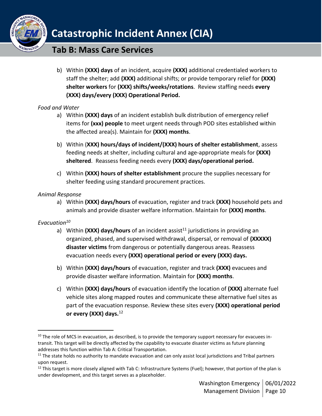

b) Within **(XXX) days** of an incident, acquire **(XXX)** additional credentialed workers to staff the shelter; add **(XXX)** additional shifts; or provide temporary relief for **(XXX) shelter workers** for **(XXX) shifts/weeks/rotations**. Review staffing needs **every (XXX) days/every (XXX) Operational Period.** 

### *Food and Water*

- a) Within **(XXX) days** of an incident establish bulk distribution of emergency relief items for **(xxx) people** to meet urgent needs through POD sites established within the affected area(s). Maintain for **(XXX) months**.
- b) Within (**XXX) hours/days of incident/(XXX) hours of shelter establishment**, assess feeding needs at shelter, including cultural and age-appropriate meals for **(XXX) sheltered**. Reassess feeding needs every **(XXX) days/operational period.**
- c) Within **(XXX) hours of shelter establishment** procure the supplies necessary for shelter feeding using standard procurement practices.

#### *Animal Response*

a) Within **(XXX) days/hours** of evacuation, register and track **(XXX)** household pets and animals and provide disaster welfare information. Maintain for **(XXX) months**.

### *Evacuation<sup>10</sup>*

- a) Within (XXX) days/hours of an incident assist<sup>11</sup> jurisdictions in providing an organized, phased, and supervised withdrawal, dispersal, or removal of **(XXXXX) disaster victims** from dangerous or potentially dangerous areas. Reassess evacuation needs every **(XXX) operational period or every (XXX) days.**
- b) Within **(XXX) days/hours** of evacuation, register and track **(XXX)** evacuees and provide disaster welfare information. Maintain for **(XXX) months**.
- c) Within **(XXX) days/hours** of evacuation identify the location of **(XXX)** alternate fuel vehicle sites along mapped routes and communicate these alternative fuel sites as part of the evacuation response. Review these sites every **(XXX) operational period or every (XXX) days.**<sup>12</sup>

 $10$  The role of MCS in evacuation, as described, is to provide the temporary support necessary for evacuees intransit. This target will be directly affected by the capability to evacuate disaster victims as future planning addresses this function within Tab A: Critical Transportation.

 $11$  The state holds no authority to mandate evacuation and can only assist local jurisdictions and Tribal partners upon request.

 $12$  This target is more closely aligned with Tab C: Infrastructure Systems (Fuel); however, that portion of the plan is under development, and this target serves as a placeholder.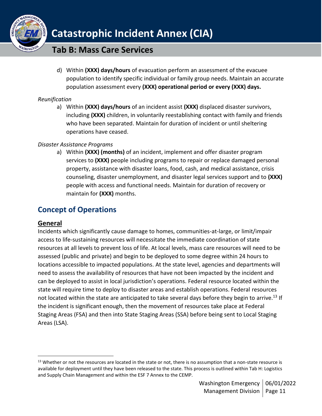

d) Within **(XXX) days/hours** of evacuation perform an assessment of the evacuee population to identify specific individual or family group needs. Maintain an accurate population assessment every **(XXX) operational period or every (XXX) days.**

### *Reunification*

a) Within **(XXX) days/hours** of an incident assist **(XXX)** displaced disaster survivors, including **(XXX)** children, in voluntarily reestablishing contact with family and friends who have been separated. Maintain for duration of incident or until sheltering operations have ceased.

### *Disaster Assistance Programs*

a) Within **(XXX) (months)** of an incident, implement and offer disaster program services to **(XXX)** people including programs to repair or replace damaged personal property, assistance with disaster loans, food, cash, and medical assistance, crisis counseling, disaster unemployment, and disaster legal services support and to **(XXX)**  people with access and functional needs. Maintain for duration of recovery or maintain for **(XXX)** months.

### <span id="page-10-0"></span>**Concept of Operations**

### <span id="page-10-1"></span>**General**

Incidents which significantly cause damage to homes, communities-at-large, or limit/impair access to life-sustaining resources will necessitate the immediate coordination of state resources at all levels to prevent loss of life. At local levels, mass care resources will need to be assessed (public and private) and begin to be deployed to some degree within 24 hours to locations accessible to impacted populations. At the state level, agencies and departments will need to assess the availability of resources that have not been impacted by the incident and can be deployed to assist in local jurisdiction's operations. Federal resource located within the state will require time to deploy to disaster areas and establish operations. Federal resources not located within the state are anticipated to take several days before they begin to arrive.<sup>13</sup> If the incident is significant enough, then the movement of resources take place at Federal Staging Areas (FSA) and then into State Staging Areas (SSA) before being sent to Local Staging Areas (LSA).

<sup>&</sup>lt;sup>13</sup> Whether or not the resources are located in the state or not, there is no assumption that a non-state resource is available for deployment until they have been released to the state. This process is outlined within Tab H: Logistics and Supply Chain Management and within the ESF 7 Annex to the CEMP.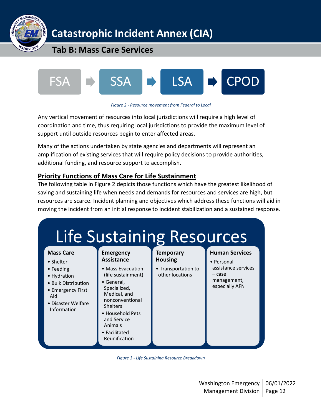



*Figure 2 - Resource movement from Federal to Local*

Any vertical movement of resources into local jurisdictions will require a high level of coordination and time, thus requiring local jurisdictions to provide the maximum level of support until outside resources begin to enter affected areas.

Many of the actions undertaken by state agencies and departments will represent an amplification of existing services that will require policy decisions to provide authorities, additional funding, and resource support to accomplish.

### <span id="page-11-0"></span>**Priority Functions of Mass Care for Life Sustainment**

The following table in Figure 2 depicts those functions which have the greatest likelihood of saving and sustaining life when needs and demands for resources and services are high, but resources are scarce. Incident planning and objectives which address these functions will aid in moving the incident from an initial response to incident stabilization and a sustained response.



*Figure 3 - Life Sustaining Resource Breakdown*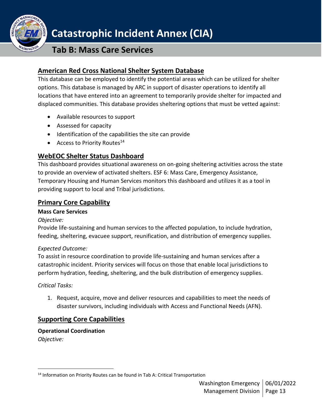

### **Tab B: Mass Care Services**

### <span id="page-12-0"></span>**American Red Cross National Shelter System Database**

This database can be employed to identify the potential areas which can be utilized for shelter options. This database is managed by ARC in support of disaster operations to identify all locations that have entered into an agreement to temporarily provide shelter for impacted and displaced communities. This database provides sheltering options that must be vetted against:

- Available resources to support
- Assessed for capacity
- Identification of the capabilities the site can provide
- Access to Priority Routes $14$

### <span id="page-12-1"></span>**WebEOC Shelter Status Dashboard**

This dashboard provides situational awareness on on-going sheltering activities across the state to provide an overview of activated shelters. ESF 6: Mass Care, Emergency Assistance, Temporary Housing and Human Services monitors this dashboard and utilizes it as a tool in providing support to local and Tribal jurisdictions.

### <span id="page-12-2"></span>**Primary Core Capability**

#### **Mass Care Services**

#### *Objective:*

Provide life-sustaining and human services to the affected population, to include hydration, feeding, sheltering, evacuee support, reunification, and distribution of emergency supplies.

#### *Expected Outcome:*

To assist in resource coordination to provide life-sustaining and human services after a catastrophic incident. Priority services will focus on those that enable local jurisdictions to perform hydration, feeding, sheltering, and the bulk distribution of emergency supplies.

#### *Critical Tasks:*

1. Request, acquire, move and deliver resources and capabilities to meet the needs of disaster survivors, including individuals with Access and Functional Needs (AFN).

### <span id="page-12-3"></span>**Supporting Core Capabilities**

### **Operational Coordination**

*Objective:* 

<sup>&</sup>lt;sup>14</sup> Information on Priority Routes can be found in Tab A: Critical Transportation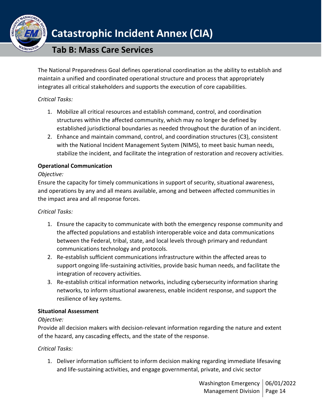

### **Tab B: Mass Care Services**

The National Preparedness Goal defines operational coordination as the ability to establish and maintain a unified and coordinated operational structure and process that appropriately integrates all critical stakeholders and supports the execution of core capabilities.

#### *Critical Tasks:*

- 1. Mobilize all critical resources and establish command, control, and coordination structures within the affected community, which may no longer be defined by established jurisdictional boundaries as needed throughout the duration of an incident.
- 2. Enhance and maintain command, control, and coordination structures (C3), consistent with the National Incident Management System (NIMS), to meet basic human needs, stabilize the incident, and facilitate the integration of restoration and recovery activities.

#### **Operational Communication**

#### *Objective:*

Ensure the capacity for timely communications in support of security, situational awareness, and operations by any and all means available, among and between affected communities in the impact area and all response forces.

### *Critical Tasks:*

- 1. Ensure the capacity to communicate with both the emergency response community and the affected populations and establish interoperable voice and data communications between the Federal, tribal, state, and local levels through primary and redundant communications technology and protocols.
- 2. Re-establish sufficient communications infrastructure within the affected areas to support ongoing life-sustaining activities, provide basic human needs, and facilitate the integration of recovery activities.
- 3. Re-establish critical information networks, including cybersecurity information sharing networks, to inform situational awareness, enable incident response, and support the resilience of key systems.

#### **Situational Assessment**

### *Objective:*

Provide all decision makers with decision-relevant information regarding the nature and extent of the hazard, any cascading effects, and the state of the response.

### *Critical Tasks:*

1. Deliver information sufficient to inform decision making regarding immediate lifesaving and life-sustaining activities, and engage governmental, private, and civic sector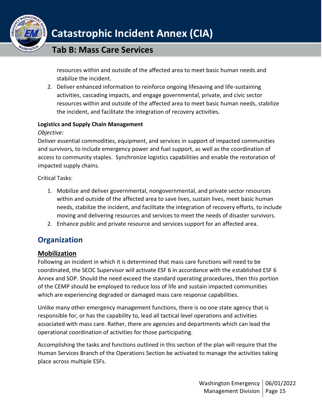

resources within and outside of the affected area to meet basic human needs and stabilize the incident.

2. Deliver enhanced information to reinforce ongoing lifesaving and life-sustaining activities, cascading impacts, and engage governmental, private, and civic sector resources within and outside of the affected area to meet basic human needs, stabilize the incident, and facilitate the integration of recovery activities.

#### **Logistics and Supply Chain Management**

#### *Objective:*

Deliver essential commodities, equipment, and services in support of impacted communities and survivors, to include emergency power and fuel support, as well as the coordination of access to community staples. Synchronize logistics capabilities and enable the restoration of impacted supply chains.

Critical Tasks:

- 1. Mobilize and deliver governmental, nongovernmental, and private sector resources within and outside of the affected area to save lives, sustain lives, meet basic human needs, stabilize the incident, and facilitate the integration of recovery efforts, to include moving and delivering resources and services to meet the needs of disaster survivors.
- 2. Enhance public and private resource and services support for an affected area.

### <span id="page-14-0"></span>**Organization**

### <span id="page-14-1"></span>**Mobilization**

Following an incident in which it is determined that mass care functions will need to be coordinated, the SEOC Supervisor will activate ESF 6 in accordance with the established ESF 6 Annex and SOP. Should the need exceed the standard operating procedures, then this portion of the CEMP should be employed to reduce loss of life and sustain impacted communities which are experiencing degraded or damaged mass care response capabilities.

Unlike many other emergency management functions, there is no one state agency that is responsible for, or has the capability to, lead all tactical level operations and activities associated with mass care. Rather, there are agencies and departments which can lead the operational coordination of activities for those participating.

Accomplishing the tasks and functions outlined in this section of the plan will require that the Human Services Branch of the Operations Section be activated to manage the activities taking place across multiple ESFs.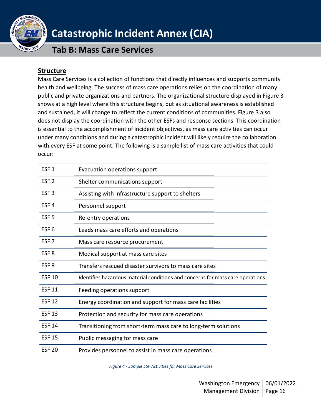

**Tab B: Mass Care Services**

### <span id="page-15-0"></span>**Structure**

Mass Care Services is a collection of functions that directly influences and supports community health and wellbeing. The success of mass care operations relies on the coordination of many public and private organizations and partners. The organizational structure displayed in Figure 3 shows at a high level where this structure begins, but as situational awareness is established and sustained, it will change to reflect the current conditions of communities. Figure 3 also does not display the coordination with the other ESFs and response sections. This coordination is essential to the accomplishment of incident objectives, as mass care activities can occur under many conditions and during a catastrophic incident will likely require the collaboration with every ESF at some point. The following is a sample list of mass care activities that could occur:

| ESF <sub>1</sub> | Evacuation operations support                                                  |
|------------------|--------------------------------------------------------------------------------|
| ESF <sub>2</sub> | Shelter communications support                                                 |
| ESF <sub>3</sub> | Assisting with infrastructure support to shelters                              |
| ESF <sub>4</sub> | Personnel support                                                              |
| ESF <sub>5</sub> | Re-entry operations                                                            |
| ESF <sub>6</sub> | Leads mass care efforts and operations                                         |
| ESF <sub>7</sub> | Mass care resource procurement                                                 |
| ESF <sub>8</sub> | Medical support at mass care sites                                             |
| ESF <sub>9</sub> | Transfers rescued disaster survivors to mass care sites                        |
| <b>ESF 10</b>    | Identifies hazardous material conditions and concerns for mass care operations |
| <b>ESF 11</b>    | Feeding operations support                                                     |
| <b>ESF 12</b>    | Energy coordination and support for mass care facilities                       |
| <b>ESF 13</b>    | Protection and security for mass care operations                               |
| <b>ESF 14</b>    | Transitioning from short-term mass care to long-term solutions                 |
| <b>ESF 15</b>    | Public messaging for mass care                                                 |
| <b>ESF 20</b>    | Provides personnel to assist in mass care operations                           |

*Figure 4 - Sample ESF Activities for Mass Care Services*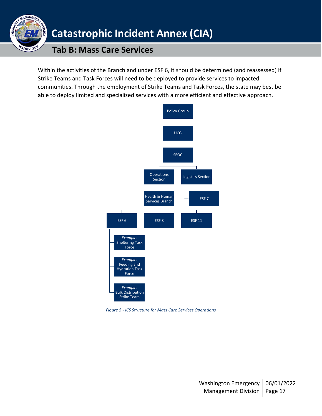

Within the activities of the Branch and under ESF 6, it should be determined (and reassessed) if Strike Teams and Task Forces will need to be deployed to provide services to impacted communities. Through the employment of Strike Teams and Task Forces, the state may best be able to deploy limited and specialized services with a more efficient and effective approach.



*Figure 5 - ICS Structure for Mass Care Services Operations*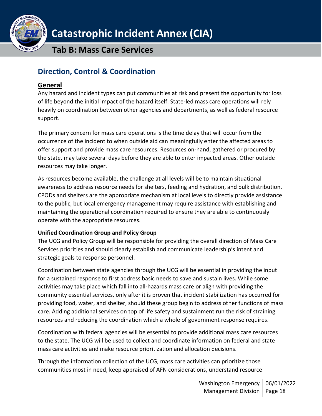

**Tab B: Mass Care Services**

### <span id="page-17-0"></span>**Direction, Control & Coordination**

### <span id="page-17-1"></span>**General**

Any hazard and incident types can put communities at risk and present the opportunity for loss of life beyond the initial impact of the hazard itself. State-led mass care operations will rely heavily on coordination between other agencies and departments, as well as federal resource support.

The primary concern for mass care operations is the time delay that will occur from the occurrence of the incident to when outside aid can meaningfully enter the affected areas to offer support and provide mass care resources. Resources on-hand, gathered or procured by the state, may take several days before they are able to enter impacted areas. Other outside resources may take longer.

As resources become available, the challenge at all levels will be to maintain situational awareness to address resource needs for shelters, feeding and hydration, and bulk distribution. CPODs and shelters are the appropriate mechanism at local levels to directly provide assistance to the public, but local emergency management may require assistance with establishing and maintaining the operational coordination required to ensure they are able to continuously operate with the appropriate resources.

### **Unified Coordination Group and Policy Group**

The UCG and Policy Group will be responsible for providing the overall direction of Mass Care Services priorities and should clearly establish and communicate leadership's intent and strategic goals to response personnel.

Coordination between state agencies through the UCG will be essential in providing the input for a sustained response to first address basic needs to save and sustain lives. While some activities may take place which fall into all-hazards mass care or align with providing the community essential services, only after it is proven that incident stabilization has occurred for providing food, water, and shelter, should these group begin to address other functions of mass care. Adding additional services on top of life safety and sustainment run the risk of straining resources and reducing the coordination which a whole of government response requires.

Coordination with federal agencies will be essential to provide additional mass care resources to the state. The UCG will be used to collect and coordinate information on federal and state mass care activities and make resource prioritization and allocation decisions.

Through the information collection of the UCG, mass care activities can prioritize those communities most in need, keep appraised of AFN considerations, understand resource

> Washington Emergency | 06/01/2022 Management Division | Page 18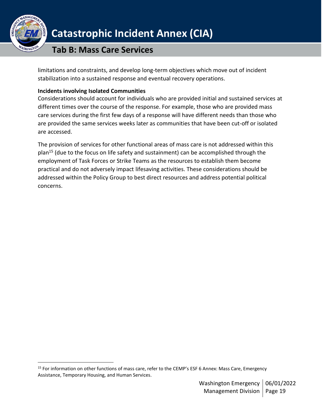

### **Tab B: Mass Care Services**

limitations and constraints, and develop long-term objectives which move out of incident stabilization into a sustained response and eventual recovery operations.

#### **Incidents involving Isolated Communities**

Considerations should account for individuals who are provided initial and sustained services at different times over the course of the response. For example, those who are provided mass care services during the first few days of a response will have different needs than those who are provided the same services weeks later as communities that have been cut-off or isolated are accessed.

<span id="page-18-0"></span>The provision of services for other functional areas of mass care is not addressed within this plan<sup>15</sup> (due to the focus on life safety and sustainment) can be accomplished through the employment of Task Forces or Strike Teams as the resources to establish them become practical and do not adversely impact lifesaving activities. These considerations should be addressed within the Policy Group to best direct resources and address potential political concerns.

<sup>&</sup>lt;sup>15</sup> For information on other functions of mass care, refer to the CEMP's ESF 6 Annex: Mass Care, Emergency Assistance, Temporary Housing, and Human Services.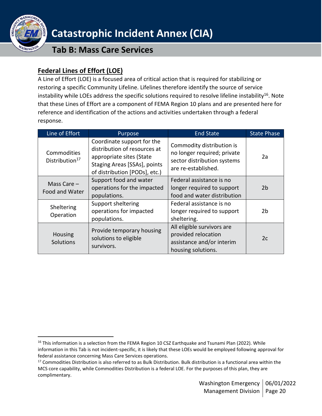

### **Federal Lines of Effort (LOE)**

A Line of Effort (LOE) is a focused area of critical action that is required for stabilizing or restoring a specific Community Lifeline. Lifelines therefore identify the source of service instability while LOEs address the specific solutions required to resolve lifeline instability<sup>16</sup>. Note that these Lines of Effort are a component of FEMA Region 10 plans and are presented here for reference and identification of the actions and activities undertaken through a federal response.

| Line of Effort                            | Purpose                                                                                                                                                 | <b>End State</b>                                                                                               | <b>State Phase</b> |
|-------------------------------------------|---------------------------------------------------------------------------------------------------------------------------------------------------------|----------------------------------------------------------------------------------------------------------------|--------------------|
| Commodities<br>Distribution <sup>17</sup> | Coordinate support for the<br>distribution of resources at<br>appropriate sites (State<br>Staging Areas [SSAs], points<br>of distribution [PODs], etc.) | Commodity distribution is<br>no longer required; private<br>sector distribution systems<br>are re-established. | 2a                 |
| Mass Care $-$<br>Food and Water           | Support food and water<br>operations for the impacted<br>populations.                                                                                   | Federal assistance is no<br>longer required to support<br>food and water distribution                          | 2 <sub>b</sub>     |
| Sheltering<br>Operation                   | Support sheltering<br>operations for impacted<br>populations.                                                                                           | Federal assistance is no<br>longer required to support<br>sheltering.                                          | 2 <sub>b</sub>     |
| Housing<br>Solutions                      | Provide temporary housing<br>solutions to eligible<br>survivors.                                                                                        | All eligible survivors are<br>provided relocation<br>assistance and/or interim<br>housing solutions.           | 2c                 |

<sup>&</sup>lt;sup>16</sup> This information is a selection from the FEMA Region 10 CSZ Earthquake and Tsunami Plan (2022). While information in this Tab is not incident-specific, it is likely that these LOEs would be employed following approval for federal assistance concerning Mass Care Services operations.

 $17$  Commodities Distribution is also referred to as Bulk Distribution. Bulk distribution is a functional area within the MCS core capability, while Commodities Distribution is a federal LOE. For the purposes of this plan, they are complimentary.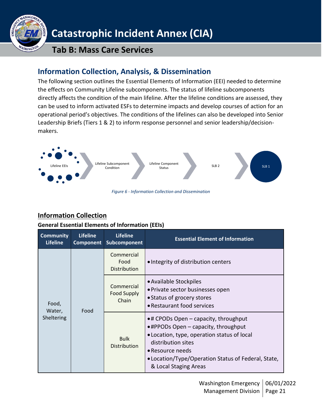

**Tab B: Mass Care Services**

### <span id="page-20-0"></span>**Information Collection, Analysis, & Dissemination**

The following section outlines the Essential Elements of Information (EEI) needed to determine the effects on Community Lifeline subcomponents. The status of lifeline subcomponents directly affects the condition of the main lifeline. After the lifeline conditions are assessed, they can be used to inform activated ESFs to determine impacts and develop courses of action for an operational period's objectives. The conditions of the lifelines can also be developed into Senior Leadership Briefs (Tiers 1 & 2) to inform response personnel and senior leadership/decisionmakers.



### <span id="page-20-1"></span>**Information Collection**

#### **General Essential Elements of Information (EEIs)**

| <b>Community</b><br><b>Lifeline</b>   | <b>Lifeline</b><br>Component       | <b>Lifeline</b><br>Subcomponent                                                                                                                                                                                                                                                  | <b>Essential Element of Information</b> |
|---------------------------------------|------------------------------------|----------------------------------------------------------------------------------------------------------------------------------------------------------------------------------------------------------------------------------------------------------------------------------|-----------------------------------------|
| Food,<br>Food<br>Water,<br>Sheltering | Commercial<br>Food<br>Distribution | • Integrity of distribution centers                                                                                                                                                                                                                                              |                                         |
|                                       | Commercial<br>Food Supply<br>Chain | • Available Stockpiles<br>• Private sector businesses open<br>• Status of grocery stores<br>• Restaurant food services                                                                                                                                                           |                                         |
|                                       | <b>Bulk</b><br>Distribution        | $\bullet$ # CPODs Open – capacity, throughput<br>$\bullet$ #PPODs Open $-$ capacity, throughput<br>• Location, type, operation status of local<br>distribution sites<br>$\bullet$ Resource needs<br>• Location/Type/Operation Status of Federal, State,<br>& Local Staging Areas |                                         |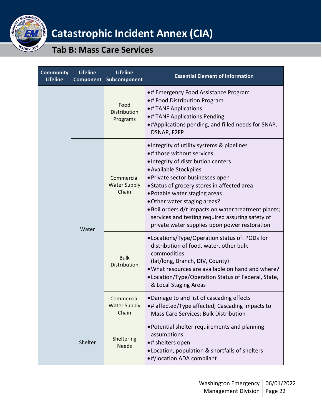

| <b>Community</b><br><b>Lifeline</b> | <b>Lifeline</b><br><b>Component</b> | <b>Lifeline</b><br>Subcomponent            | <b>Essential Element of Information</b>                                                                                                                                                                                                                                                                                                                                                                                                                   |
|-------------------------------------|-------------------------------------|--------------------------------------------|-----------------------------------------------------------------------------------------------------------------------------------------------------------------------------------------------------------------------------------------------------------------------------------------------------------------------------------------------------------------------------------------------------------------------------------------------------------|
|                                     |                                     | Food<br><b>Distribution</b><br>Programs    | •# Emergency Food Assistance Program<br>•# Food Distribution Program<br>•# TANF Applications<br>•# TANF Applications Pending<br>. #Applications pending, and filled needs for SNAP,<br>DSNAP, F2FP                                                                                                                                                                                                                                                        |
|                                     | Water                               | Commercial<br><b>Water Supply</b><br>Chain | • Integrity of utility systems & pipelines<br>•# those without services<br>. Integrity of distribution centers<br>• Available Stockpiles<br>· Private sector businesses open<br>• Status of grocery stores in affected area<br>• Potable water staging areas<br>. Other water staging areas?<br>. Boil orders d/t impacts on water treatment plants;<br>services and testing required assuring safety of<br>private water supplies upon power restoration |
|                                     |                                     | <b>Bulk</b><br>Distribution                | • Locations/Type/Operation status of: PODs for<br>distribution of food, water, other bulk<br>commodities<br>(lat/long, Branch, DIV, County)<br>. What resources are available on hand and where?<br>• Location/Type/Operation Status of Federal, State,<br>& Local Staging Areas                                                                                                                                                                          |
|                                     |                                     | Commercial<br><b>Water Supply</b><br>Chain | • Damage to and list of cascading effects<br>•# affected/Type affected; Cascading impacts to<br><b>Mass Care Services: Bulk Distribution</b>                                                                                                                                                                                                                                                                                                              |
|                                     | Shelter                             | Sheltering<br><b>Needs</b>                 | • Potential shelter requirements and planning<br>assumptions<br>•# shelters open<br>· Location, population & shortfalls of shelters<br>•#/location ADA compliant                                                                                                                                                                                                                                                                                          |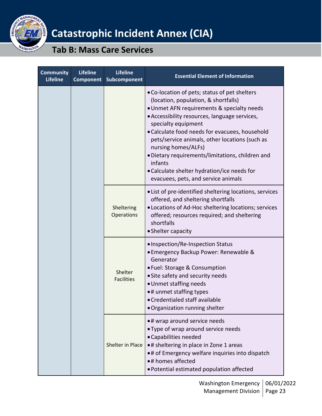

| <b>Community</b><br><b>Lifeline</b> | <b>Lifeline</b><br><b>Component</b> | <b>Lifeline</b><br>Subcomponent                                                                                                                                                                                                                                                                                                                                                                                                                                                             | <b>Essential Element of Information</b>                                                                                                                                                                                                                     |
|-------------------------------------|-------------------------------------|---------------------------------------------------------------------------------------------------------------------------------------------------------------------------------------------------------------------------------------------------------------------------------------------------------------------------------------------------------------------------------------------------------------------------------------------------------------------------------------------|-------------------------------------------------------------------------------------------------------------------------------------------------------------------------------------------------------------------------------------------------------------|
|                                     |                                     | . Co-location of pets; status of pet shelters<br>(location, population, & shortfalls)<br>• Unmet AFN requirements & specialty needs<br>• Accessibility resources, language services,<br>specialty equipment<br>• Calculate food needs for evacuees, household<br>pets/service animals, other locations (such as<br>nursing homes/ALFs)<br>• Dietary requirements/limitations, children and<br>infants<br>• Calculate shelter hydration/ice needs for<br>evacuees, pets, and service animals |                                                                                                                                                                                                                                                             |
|                                     |                                     | Sheltering<br>Operations                                                                                                                                                                                                                                                                                                                                                                                                                                                                    | • List of pre-identified sheltering locations, services<br>offered, and sheltering shortfalls<br>• Locations of Ad-Hoc sheltering locations; services<br>offered; resources required; and sheltering<br>shortfalls<br>• Shelter capacity                    |
|                                     | Shelter<br><b>Facilities</b>        | • Inspection/Re-Inspection Status<br>• Emergency Backup Power: Renewable &<br>Generator<br>• Fuel: Storage & Consumption<br>• Site safety and security needs<br>• Unmet staffing needs<br>•# unmet staffing types<br>• Credentialed staff available<br>. Organization running shelter                                                                                                                                                                                                       |                                                                                                                                                                                                                                                             |
|                                     |                                     | <b>Shelter in Place</b>                                                                                                                                                                                                                                                                                                                                                                                                                                                                     | •# wrap around service needs<br>• Type of wrap around service needs<br>• Capabilities needed<br>•# sheltering in place in Zone 1 areas<br>.# of Emergency welfare inquiries into dispatch<br>•# homes affected<br>· Potential estimated population affected |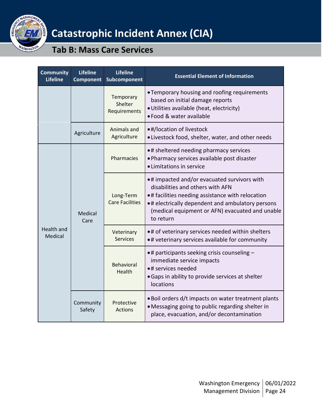

| <b>Community</b><br><b>Lifeline</b> | <b>Lifeline</b><br><b>Component</b> | <b>Lifeline</b><br>Subcomponent      | <b>Essential Element of Information</b>                                                                                                                                                                                                                  |
|-------------------------------------|-------------------------------------|--------------------------------------|----------------------------------------------------------------------------------------------------------------------------------------------------------------------------------------------------------------------------------------------------------|
|                                     |                                     | Temporary<br>Shelter<br>Requirements | • Temporary housing and roofing requirements<br>based on initial damage reports<br>· Utilities available (heat, electricity)<br>. Food & water available                                                                                                 |
|                                     | Agriculture                         | Animals and<br>Agriculture           | •#/location of livestock<br>. Livestock food, shelter, water, and other needs                                                                                                                                                                            |
| Care<br>Health and<br>Medical       |                                     | Pharmacies                           | •# sheltered needing pharmacy services<br>. Pharmacy services available post disaster<br>• Limitations in service                                                                                                                                        |
|                                     | Medical                             | Long-Term<br><b>Care Facilities</b>  | •# impacted and/or evacuated survivors with<br>disabilities and others with AFN<br>•# facilities needing assistance with relocation<br>. # electrically dependent and ambulatory persons<br>(medical equipment or AFN) evacuated and unable<br>to return |
|                                     |                                     | Veterinary<br><b>Services</b>        | •# of veterinary services needed within shelters<br>. # veterinary services available for community                                                                                                                                                      |
|                                     |                                     | <b>Behavioral</b><br>Health          | • # participants seeking crisis counseling -<br>immediate service impacts<br>•# services needed<br>• Gaps in ability to provide services at shelter<br>locations                                                                                         |
|                                     | Community<br>Safety                 | Protective<br><b>Actions</b>         | . Boil orders d/t impacts on water treatment plants<br>• Messaging going to public regarding shelter in<br>place, evacuation, and/or decontamination                                                                                                     |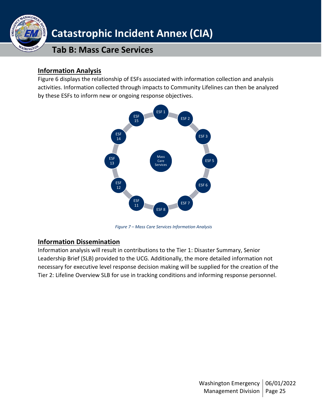

### <span id="page-24-0"></span>**Information Analysis**

Figure 6 displays the relationship of ESFs associated with information collection and analysis activities. Information collected through impacts to Community Lifelines can then be analyzed by these ESFs to inform new or ongoing response objectives.



*Figure 7 – Mass Care Services Information Analysis*

### <span id="page-24-1"></span>**Information Dissemination**

Information analysis will result in contributions to the Tier 1: Disaster Summary, Senior Leadership Brief (SLB) provided to the UCG. Additionally, the more detailed information not necessary for executive level response decision making will be supplied for the creation of the Tier 2: Lifeline Overview SLB for use in tracking conditions and informing response personnel.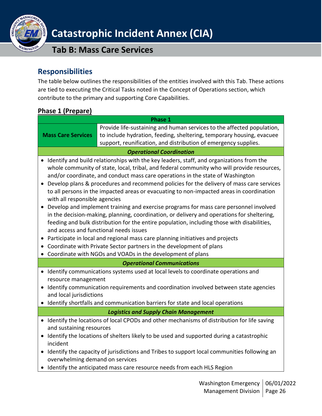

### **Tab B: Mass Care Services**

### <span id="page-25-0"></span>**Responsibilities**

The table below outlines the responsibilities of the entities involved with this Tab. These actions are tied to executing the Critical Tasks noted in the Concept of Operations section, which contribute to the primary and supporting Core Capabilities.

<span id="page-25-1"></span>

| <b>Phase 1 (Prepare)</b>                                                                                       |                                                                                                                                                                                                                                                                                                                                                                                                                                                                                                                                                                                                                                                                                                                                                                                                                                                                                                                                                                                |  |
|----------------------------------------------------------------------------------------------------------------|--------------------------------------------------------------------------------------------------------------------------------------------------------------------------------------------------------------------------------------------------------------------------------------------------------------------------------------------------------------------------------------------------------------------------------------------------------------------------------------------------------------------------------------------------------------------------------------------------------------------------------------------------------------------------------------------------------------------------------------------------------------------------------------------------------------------------------------------------------------------------------------------------------------------------------------------------------------------------------|--|
|                                                                                                                | <b>Phase 1</b>                                                                                                                                                                                                                                                                                                                                                                                                                                                                                                                                                                                                                                                                                                                                                                                                                                                                                                                                                                 |  |
| <b>Mass Care Services</b>                                                                                      | Provide life-sustaining and human services to the affected population,<br>to include hydration, feeding, sheltering, temporary housing, evacuee<br>support, reunification, and distribution of emergency supplies.                                                                                                                                                                                                                                                                                                                                                                                                                                                                                                                                                                                                                                                                                                                                                             |  |
|                                                                                                                | <b>Operational Coordination</b>                                                                                                                                                                                                                                                                                                                                                                                                                                                                                                                                                                                                                                                                                                                                                                                                                                                                                                                                                |  |
| $\bullet$<br>with all responsible agencies<br>and access and functional needs issues<br>$\bullet$<br>$\bullet$ | • Identify and build relationships with the key leaders, staff, and organizations from the<br>whole community of state, local, tribal, and federal community who will provide resources,<br>and/or coordinate, and conduct mass care operations in the state of Washington<br>Develop plans & procedures and recommend policies for the delivery of mass care services<br>to all persons in the impacted areas or evacuating to non-impacted areas in coordination<br>Develop and implement training and exercise programs for mass care personnel involved<br>in the decision-making, planning, coordination, or delivery and operations for sheltering,<br>feeding and bulk distribution for the entire population, including those with disabilities,<br>Participate in local and regional mass care planning initiatives and projects<br>Coordinate with Private Sector partners in the development of plans<br>Coordinate with NGOs and VOADs in the development of plans |  |
|                                                                                                                | <b>Operational Communications</b>                                                                                                                                                                                                                                                                                                                                                                                                                                                                                                                                                                                                                                                                                                                                                                                                                                                                                                                                              |  |
| resource management<br>and local jurisdictions                                                                 | • Identify communications systems used at local levels to coordinate operations and<br>• Identify communication requirements and coordination involved between state agencies<br>• Identify shortfalls and communication barriers for state and local operations                                                                                                                                                                                                                                                                                                                                                                                                                                                                                                                                                                                                                                                                                                               |  |
| <b>Logistics and Supply Chain Management</b>                                                                   |                                                                                                                                                                                                                                                                                                                                                                                                                                                                                                                                                                                                                                                                                                                                                                                                                                                                                                                                                                                |  |
| and sustaining resources<br>incident<br>$\bullet$<br>overwhelming demand on services                           | • Identify the locations of local CPODs and other mechanisms of distribution for life saving<br>• Identify the locations of shelters likely to be used and supported during a catastrophic<br>Identify the capacity of jurisdictions and Tribes to support local communities following an<br>• Identify the anticipated mass care resource needs from each HLS Region                                                                                                                                                                                                                                                                                                                                                                                                                                                                                                                                                                                                          |  |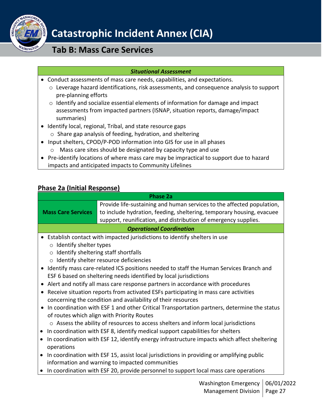

### **Tab B: Mass Care Services**

#### *Situational Assessment*

- Conduct assessments of mass care needs, capabilities, and expectations.
	- o Leverage hazard identifications, risk assessments, and consequence analysis to support pre-planning efforts
	- o Identify and socialize essential elements of information for damage and impact assessments from impacted partners (ISNAP, situation reports, damage/impact summaries)
- Identify local, regional, Tribal, and state resource gaps
	- o Share gap analysis of feeding, hydration, and sheltering
- Input shelters, CPOD/P-POD information into GIS for use in all phases
	- o Mass care sites should be designated by capacity type and use
- Pre-identify locations of where mass care may be impractical to support due to hazard impacts and anticipated impacts to Community Lifelines

### <span id="page-26-0"></span>**Phase 2a (Initial Response)**

|                                | <b>Phase 2a</b>                                                                             |
|--------------------------------|---------------------------------------------------------------------------------------------|
|                                | Provide life-sustaining and human services to the affected population,                      |
| <b>Mass Care Services</b>      | to include hydration, feeding, sheltering, temporary housing, evacuee                       |
|                                | support, reunification, and distribution of emergency supplies.                             |
|                                | <b>Operational Coordination</b>                                                             |
|                                | Establish contact with impacted jurisdictions to identify shelters in use                   |
| $\circ$ Identify shelter types |                                                                                             |
| $\circ$                        | Identify sheltering staff shortfalls                                                        |
|                                | o Identify shelter resource deficiencies                                                    |
| $\bullet$                      | Identify mass care-related ICS positions needed to staff the Human Services Branch and      |
|                                | ESF 6 based on sheltering needs identified by local jurisdictions                           |
| $\bullet$                      | Alert and notify all mass care response partners in accordance with procedures              |
| $\bullet$                      | Receive situation reports from activated ESFs participating in mass care activities         |
|                                | concerning the condition and availability of their resources                                |
| $\bullet$                      | In coordination with ESF 1 and other Critical Transportation partners, determine the status |
|                                | of routes which align with Priority Routes                                                  |
|                                | $\circ$ Assess the ability of resources to access shelters and inform local jurisdictions   |
| $\bullet$                      | In coordination with ESF 8, identify medical support capabilities for shelters              |
| $\bullet$                      | In coordination with ESF 12, identify energy infrastructure impacts which affect sheltering |
| operations                     |                                                                                             |
| $\bullet$                      | In coordination with ESF 15, assist local jurisdictions in providing or amplifying public   |
|                                | information and warning to impacted communities                                             |
|                                | In coordination with ESF 20, provide personnel to support local mass care operations        |
|                                | Washington Emergancy 06/01/20                                                               |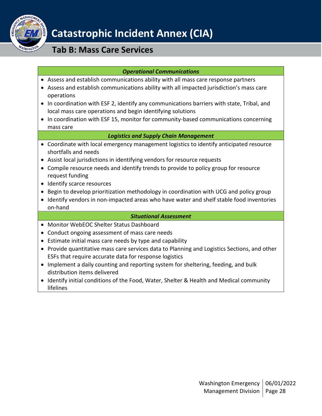

### **Tab B: Mass Care Services**

#### *Operational Communications*

- Assess and establish communications ability with all mass care response partners
- Assess and establish communications ability with all impacted jurisdiction's mass care operations
- In coordination with ESF 2, identify any communications barriers with state, Tribal, and local mass care operations and begin identifying solutions
- In coordination with ESF 15, monitor for community-based communications concerning mass care

#### *Logistics and Supply Chain Management*

- Coordinate with local emergency management logistics to identify anticipated resource shortfalls and needs
- Assist local jurisdictions in identifying vendors for resource requests
- Compile resource needs and identify trends to provide to policy group for resource request funding
- Identify scarce resources
- Begin to develop prioritization methodology in coordination with UCG and policy group
- Identify vendors in non-impacted areas who have water and shelf stable food inventories on-hand

#### *Situational Assessment*

- Monitor WebEOC Shelter Status Dashboard
- Conduct ongoing assessment of mass care needs
- Estimate initial mass care needs by type and capability
- Provide quantitative mass care services data to Planning and Logistics Sections, and other ESFs that require accurate data for response logistics
- Implement a daily counting and reporting system for sheltering, feeding, and bulk distribution items delivered
- Identify initial conditions of the Food, Water, Shelter & Health and Medical community lifelines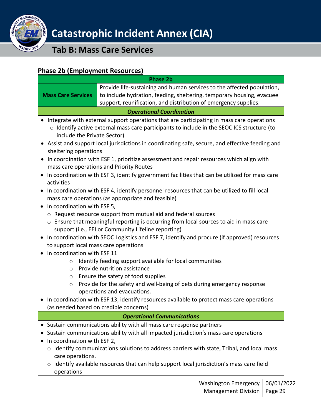

**Tab B: Mass Care Services**

### <span id="page-28-0"></span>**Phase 2b (Employment Resources)**

|                                                                                                                                                                                                                                                                                                                                                         | <u>2000 - 2010 - 2010 - 2010 - 2010 - 2010 - 2010 - 2010 - 2010 - 2010 - 2010 - 2010 - 2010 - 2010 - 2010 - 2010 - 2010 - 2010 - 2010 - 2010 - 2010 - 2010 - 2010 - 2010 - 2010 - 2010 - 2010 - 2010 - 2010 - 2010 - 2010 - 2010</u><br><b>Phase 2b</b>                                                                                                                         |
|---------------------------------------------------------------------------------------------------------------------------------------------------------------------------------------------------------------------------------------------------------------------------------------------------------------------------------------------------------|---------------------------------------------------------------------------------------------------------------------------------------------------------------------------------------------------------------------------------------------------------------------------------------------------------------------------------------------------------------------------------|
| <b>Mass Care Services</b>                                                                                                                                                                                                                                                                                                                               | Provide life-sustaining and human services to the affected population,<br>to include hydration, feeding, sheltering, temporary housing, evacuee<br>support, reunification, and distribution of emergency supplies.                                                                                                                                                              |
|                                                                                                                                                                                                                                                                                                                                                         | <b>Operational Coordination</b>                                                                                                                                                                                                                                                                                                                                                 |
| include the Private Sector)                                                                                                                                                                                                                                                                                                                             | Integrate with external support operations that are participating in mass care operations<br>o Identify active external mass care participants to include in the SEOC ICS structure (to<br>• Assist and support local jurisdictions in coordinating safe, secure, and effective feeding and                                                                                     |
| sheltering operations<br>$\bullet$<br>$\bullet$                                                                                                                                                                                                                                                                                                         | In coordination with ESF 1, prioritize assessment and repair resources which align with<br>mass care operations and Priority Routes<br>In coordination with ESF 3, identify government facilities that can be utilized for mass care                                                                                                                                            |
| activities<br>$\bullet$<br>In coordination with ESF 5,<br>$\bullet$                                                                                                                                                                                                                                                                                     | In coordination with ESF 4, identify personnel resources that can be utilized to fill local<br>mass care operations (as appropriate and feasible)                                                                                                                                                                                                                               |
| o Request resource support from mutual aid and federal sources<br>o Ensure that meaningful reporting is occurring from local sources to aid in mass care<br>support (i.e., EEI or Community Lifeline reporting)<br>In coordination with SEOC Logistics and ESF 7, identify and procure (if approved) resources<br>to support local mass care operations |                                                                                                                                                                                                                                                                                                                                                                                 |
| In coordination with ESF 11<br>$\circ$<br>$\circ$<br>$\circ$<br>$\circ$<br>$\bullet$                                                                                                                                                                                                                                                                    | Identify feeding support available for local communities<br>Provide nutrition assistance<br>Ensure the safety of food supplies<br>Provide for the safety and well-being of pets during emergency response<br>operations and evacuations.<br>In coordination with ESF 13, identify resources available to protect mass care operations<br>(as needed based on credible concerns) |
|                                                                                                                                                                                                                                                                                                                                                         | <b>Operational Communications</b>                                                                                                                                                                                                                                                                                                                                               |
| In coordination with ESF 2,<br>care operations.<br>operations                                                                                                                                                                                                                                                                                           | • Sustain communications ability with all mass care response partners<br>Sustain communications ability with all impacted jurisdiction's mass care operations<br>o Identify communications solutions to address barriers with state, Tribal, and local mass<br>o Identify available resources that can help support local jurisdiction's mass care field                        |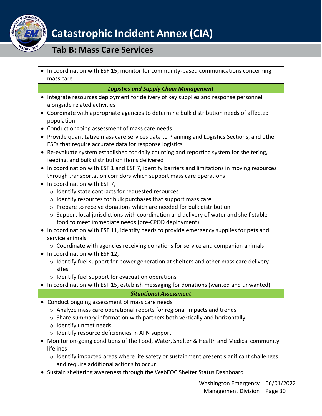

### **Tab B: Mass Care Services**

• In coordination with ESF 15, monitor for community-based communications concerning mass care

#### *Logistics and Supply Chain Management*

- Integrate resources deployment for delivery of key supplies and response personnel alongside related activities
- Coordinate with appropriate agencies to determine bulk distribution needs of affected population
- Conduct ongoing assessment of mass care needs
- Provide quantitative mass care services data to Planning and Logistics Sections, and other ESFs that require accurate data for response logistics
- Re-evaluate system established for daily counting and reporting system for sheltering, feeding, and bulk distribution items delivered
- In coordination with ESF 1 and ESF 7, identify barriers and limitations in moving resources through transportation corridors which support mass care operations
- In coordination with ESF 7,
	- o Identify state contracts for requested resources
	- o Identify resources for bulk purchases that support mass care
	- o Prepare to receive donations which are needed for bulk distribution
	- $\circ$  Support local jurisdictions with coordination and delivery of water and shelf stable food to meet immediate needs (pre-CPOD deployment)
- In coordination with ESF 11, identify needs to provide emergency supplies for pets and service animals
	- $\circ$  Coordinate with agencies receiving donations for service and companion animals
- In coordination with ESF 12,
	- o Identify fuel support for power generation at shelters and other mass care delivery sites
	- o Identify fuel support for evacuation operations
- In coordination with ESF 15, establish messaging for donations (wanted and unwanted)

### *Situational Assessment*

- Conduct ongoing assessment of mass care needs
	- o Analyze mass care operational reports for regional impacts and trends
	- o Share summary information with partners both vertically and horizontally
	- o Identify unmet needs
	- o Identify resource deficiencies in AFN support
- Monitor on-going conditions of the Food, Water, Shelter & Health and Medical community lifelines
	- o Identify impacted areas where life safety or sustainment present significant challenges and require additional actions to occur
- Sustain sheltering awareness through the WebEOC Shelter Status Dashboard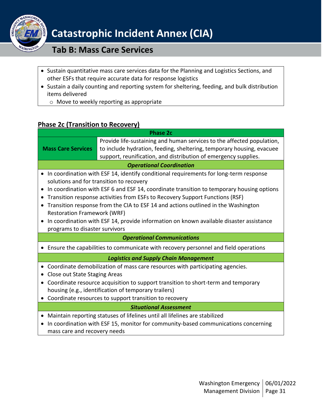

### **Tab B: Mass Care Services**

- Sustain quantitative mass care services data for the Planning and Logistics Sections, and other ESFs that require accurate data for response logistics
- Sustain a daily counting and reporting system for sheltering, feeding, and bulk distribution items delivered
	- o Move to weekly reporting as appropriate

### <span id="page-30-0"></span>**Phase 2c (Transition to Recovery)**

| <b>Phase 2c</b>                                                                     |                                                                                           |  |  |
|-------------------------------------------------------------------------------------|-------------------------------------------------------------------------------------------|--|--|
|                                                                                     | Provide life-sustaining and human services to the affected population,                    |  |  |
| <b>Mass Care Services</b>                                                           | to include hydration, feeding, sheltering, temporary housing, evacuee                     |  |  |
|                                                                                     | support, reunification, and distribution of emergency supplies.                           |  |  |
|                                                                                     | <b>Operational Coordination</b>                                                           |  |  |
|                                                                                     | In coordination with ESF 14, identify conditional requirements for long-term response     |  |  |
|                                                                                     | solutions and for transition to recovery                                                  |  |  |
|                                                                                     | In coordination with ESF 6 and ESF 14, coordinate transition to temporary housing options |  |  |
| $\bullet$                                                                           | Transition response activities from ESFs to Recovery Support Functions (RSF)              |  |  |
|                                                                                     | Transition response from the CIA to ESF 14 and actions outlined in the Washington         |  |  |
| <b>Restoration Framework (WRF)</b>                                                  |                                                                                           |  |  |
|                                                                                     | In coordination with ESF 14, provide information on known available disaster assistance   |  |  |
| programs to disaster survivors                                                      |                                                                                           |  |  |
|                                                                                     | <b>Operational Communications</b>                                                         |  |  |
| Ensure the capabilities to communicate with recovery personnel and field operations |                                                                                           |  |  |
|                                                                                     | <b>Logistics and Supply Chain Management</b>                                              |  |  |
|                                                                                     | Coordinate demobilization of mass care resources with participating agencies.             |  |  |
|                                                                                     | Close out State Staging Areas                                                             |  |  |
| Coordinate resource acquisition to support transition to short-term and temporary   |                                                                                           |  |  |
|                                                                                     | housing (e.g., identification of temporary trailers)                                      |  |  |
|                                                                                     | Coordinate resources to support transition to recovery                                    |  |  |
| <b>Situational Assessment</b>                                                       |                                                                                           |  |  |
|                                                                                     | Maintain reporting statuses of lifelines until all lifelines are stabilized               |  |  |
|                                                                                     | In coordination with ESF 15, monitor for community-based communications concerning        |  |  |
| mass care and recovery needs                                                        |                                                                                           |  |  |
|                                                                                     |                                                                                           |  |  |